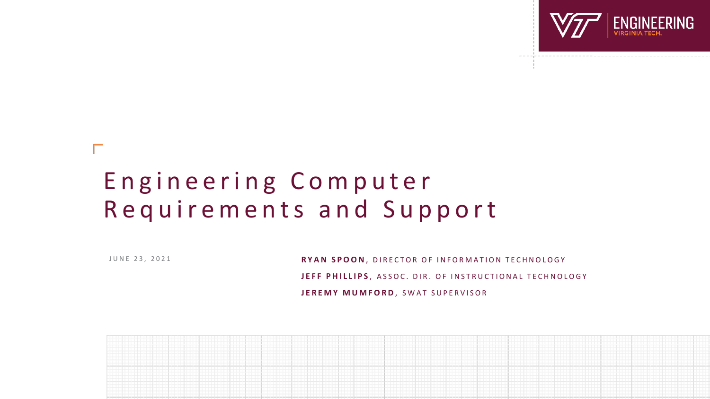

# Engineering Computer Requirements and Support

J U N E 2 3 , 2 0 2 1

RYAN SPOON, DIRECTOR OF INFORMATION TECHNOLOGY JEFF PHILLIPS, ASSOC. DIR. OF INSTRUCTIONAL TECHNOLOGY **JEREMY MUMFORD, SWAT SUPERVISOR** 

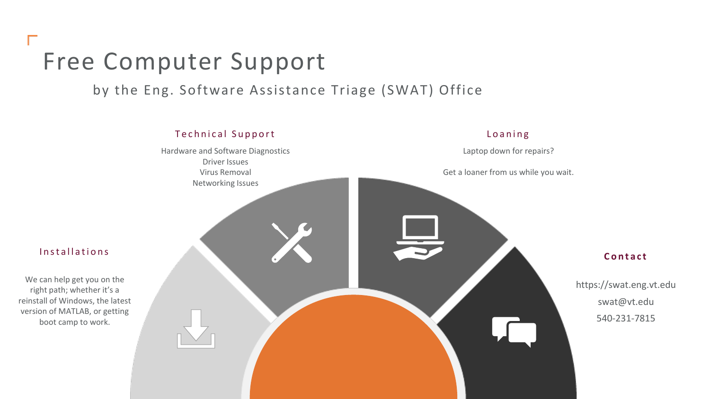# Free Computer Support

# by the Eng. Software Assistance Triage (SWAT) Office



#### Installations

We can help get you on the right path; whether it's a reinstall of Windows, the latest version of MATLAB, or getting boot camp to work.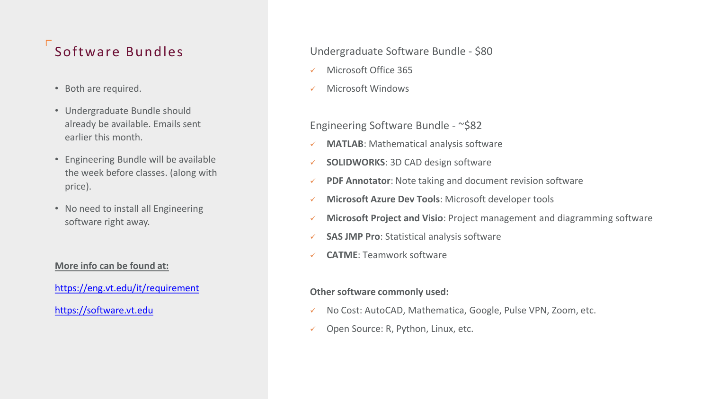# Software Bundles

- Both are required.
- Undergraduate Bundle should already be available. Emails sent earlier this month.
- Engineering Bundle will be available the week before classes. (along with price).
- No need to install all Engineering software right away.

#### **More info can be found at:**

<https://eng.vt.edu/it/requirement>

[https://software.vt.edu](https://software.vt.edu/)

### Undergraduate Software Bundle - \$80

- Microsoft Office 365
- ✓ Microsoft Windows

## Engineering Software Bundle - ~\$82

- ✓ **MATLAB**: Mathematical analysis software
- ✓ **SOLIDWORKS**: 3D CAD design software
- ✓ **PDF Annotator**: Note taking and document revision software
- **Microsoft Azure Dev Tools: Microsoft developer tools**
- ✓ **Microsoft Project and Visio**: Project management and diagramming software
- ✓ **SAS JMP Pro**: Statistical analysis software
- ✓ **CATME**: Teamwork software

#### **Other software commonly used:**

- ✓ No Cost: AutoCAD, Mathematica, Google, Pulse VPN, Zoom, etc.
- ✓ Open Source: R, Python, Linux, etc.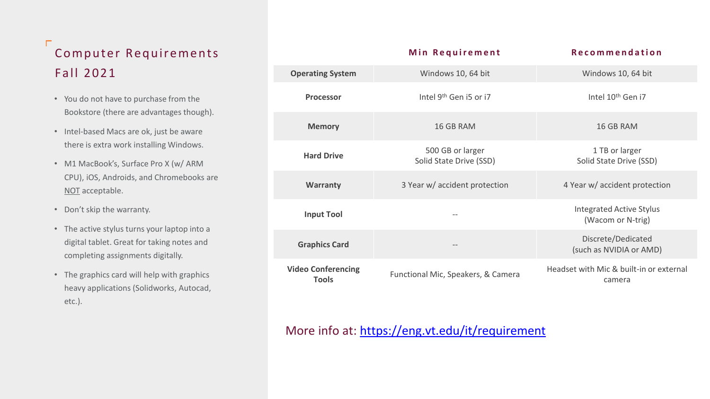# Г Computer Requirements F a ll 2021

- You do not have to purchase from the Bookstore (there are advantages though).
- Intel-based Macs are ok, just be aware there is extra work installing Windows.
- M1 MacBook's, Surface Pro X (w/ ARM CPU), iOS, Androids, and Chromebooks are NOT acceptable.
- Don't skip the warranty.
- The active stylus turns your laptop into a digital tablet. Great for taking notes and completing assignments digitally.
- The graphics card will help with graphics heavy applications (Solidworks, Autocad, etc.).

|                                           | Min Requirement                             | <b>Recommendation</b>                                |
|-------------------------------------------|---------------------------------------------|------------------------------------------------------|
| <b>Operating System</b>                   | Windows 10, 64 bit                          | Windows 10, 64 bit                                   |
| Processor                                 | Intel 9 <sup>th</sup> Gen i5 or i7          | Intel 10 <sup>th</sup> Gen i7                        |
| <b>Memory</b>                             | 16 GB RAM                                   | 16 GB RAM                                            |
| <b>Hard Drive</b>                         | 500 GB or larger<br>Solid State Drive (SSD) | 1 TB or larger<br>Solid State Drive (SSD)            |
| <b>Warranty</b>                           | 3 Year w/ accident protection               | 4 Year w/ accident protection                        |
| <b>Input Tool</b>                         |                                             | <b>Integrated Active Stylus</b><br>(Wacom or N-trig) |
| <b>Graphics Card</b>                      |                                             | Discrete/Dedicated<br>(such as NVIDIA or AMD)        |
| <b>Video Conferencing</b><br><b>Tools</b> | Functional Mic, Speakers, & Camera          | Headset with Mic & built-in or external<br>camera    |

# More info at: <https://eng.vt.edu/it/requirement>